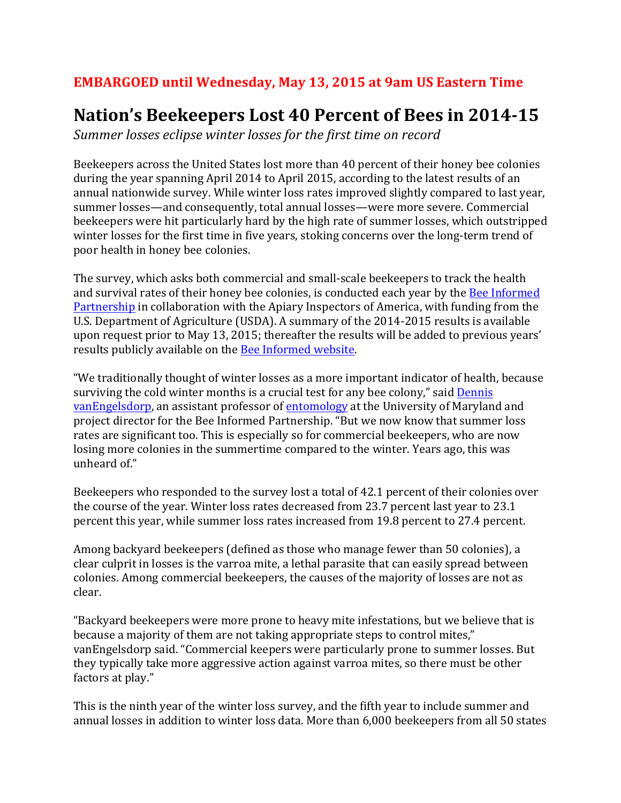## **EMBARGOED** until Wednesday, May 13, 2015 at 9am US Eastern Time

## **Nation's Beekeepers Lost 40 Percent of Bees in 2014-15**

Summer *losses eclipse winter losses for the first time on record* 

Beekeepers across the United States lost more than 40 percent of their honey bee colonies during the year spanning April 2014 to April 2015, according to the latest results of an annual nationwide survey. While winter loss rates improved slightly compared to last year, summer losses—and consequently, total annual losses—were more severe. Commercial beekeepers were hit particularly hard by the high rate of summer losses, which outstripped winter losses for the first time in five years, stoking concerns over the long-term trend of poor health in honey bee colonies.

The survey, which asks both commercial and small-scale beekeepers to track the health and survival rates of their honey bee colonies, is conducted each year by the Bee Informed Partnership in collaboration with the Apiary Inspectors of America, with funding from the U.S. Department of Agriculture (USDA). A summary of the 2014-2015 results is available upon request prior to May 13, 2015; thereafter the results will be added to previous years' results publicly available on the Bee Informed website.

"We traditionally thought of winter losses as a more important indicator of health, because surviving the cold winter months is a crucial test for any bee colony," said Dennis vanEngelsdorp, an assistant professor of entomology at the University of Maryland and project director for the Bee Informed Partnership. "But we now know that summer loss rates are significant too. This is especially so for commercial beekeepers, who are now losing more colonies in the summertime compared to the winter. Years ago, this was unheard of."

Beekeepers who responded to the survey lost a total of 42.1 percent of their colonies over the course of the year. Winter loss rates decreased from 23.7 percent last year to  $23.1$ percent this year, while summer loss rates increased from 19.8 percent to 27.4 percent.

Among backyard beekeepers (defined as those who manage fewer than 50 colonies), a clear culprit in losses is the varroa mite, a lethal parasite that can easily spread between colonies. Among commercial beekeepers, the causes of the majority of losses are not as clear.

"Backyard beekeepers were more prone to heavy mite infestations, but we believe that is because a majority of them are not taking appropriate steps to control mites," vanEngelsdorp said. "Commercial keepers were particularly prone to summer losses. But they typically take more aggressive action against varroa mites, so there must be other factors at play."

This is the ninth year of the winter loss survey, and the fifth year to include summer and annual losses in addition to winter loss data. More than 6,000 beekeepers from all 50 states